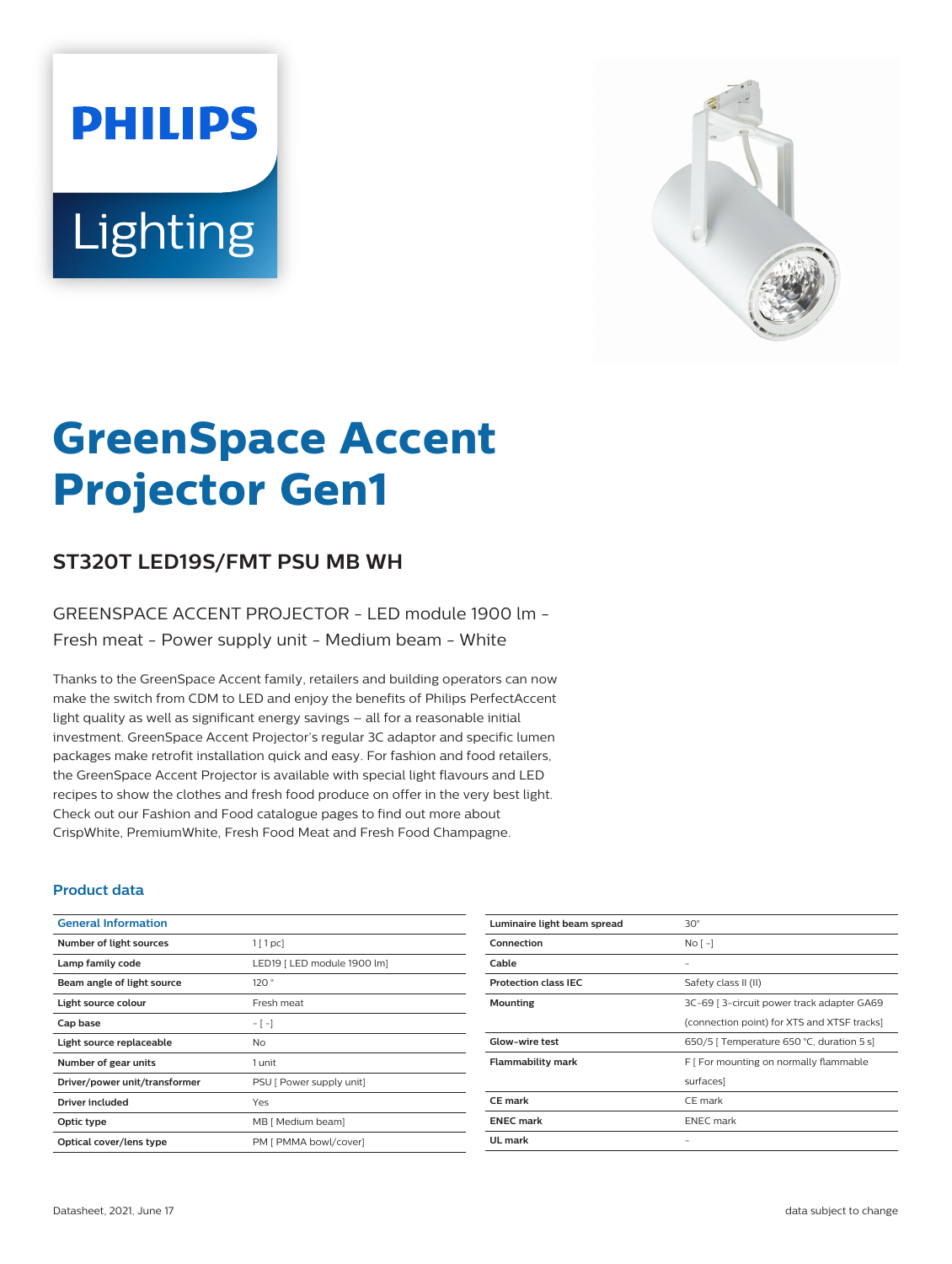# **PHILIPS** Lighting



# **GreenSpace Accent Projector Gen1**

# **ST320T LED19S/FMT PSU MB WH**

### GREENSPACE ACCENT PROJECTOR - LED module 1900 lm - Fresh meat - Power supply unit - Medium beam - White

Thanks to the GreenSpace Accent family, retailers and building operators can now make the switch from CDM to LED and enjoy the benefits of Philips PerfectAccent light quality as well as significant energy savings – all for a reasonable initial investment. GreenSpace Accent Projector's regular 3C adaptor and specific lumen packages make retrofit installation quick and easy. For fashion and food retailers, the GreenSpace Accent Projector is available with special light flavours and LED recipes to show the clothes and fresh food produce on offer in the very best light. Check out our Fashion and Food catalogue pages to find out more about CrispWhite, PremiumWhite, Fresh Food Meat and Fresh Food Champagne.

#### **Product data**

| <b>General Information</b>    |                             |
|-------------------------------|-----------------------------|
| Number of light sources       | $1$ [ 1 pc]                 |
| Lamp family code              | LED19   LED module 1900 lm] |
| Beam angle of light source    | 120°                        |
| Light source colour           | Fresh meat                  |
| Cap base                      | $-[-]$                      |
| Light source replaceable      | Nο                          |
| Number of gear units          | 1 unit                      |
| Driver/power unit/transformer | PSU [ Power supply unit]    |
| Driver included               | Yes                         |
| Optic type                    | MB [ Medium beam]           |
| Optical cover/lens type       | PM [ PMMA bowl/cover]       |

| Luminaire light beam spread | $30^\circ$                                  |
|-----------------------------|---------------------------------------------|
| Connection                  | $No$ [ -1                                   |
| Cable                       |                                             |
| <b>Protection class IEC</b> | Safety class II (II)                        |
| <b>Mounting</b>             | 3C-69   3-circuit power track adapter GA69  |
|                             | (connection point) for XTS and XTSF tracks] |
| <b>Glow-wire test</b>       | 650/5   Temperature 650 °C, duration 5 s]   |
| <b>Flammability mark</b>    | F [ For mounting on normally flammable      |
|                             | surfaces]                                   |
| <b>CE</b> mark              | CE mark                                     |
| <b>ENEC mark</b>            | <b>ENEC</b> mark                            |
| UL mark                     |                                             |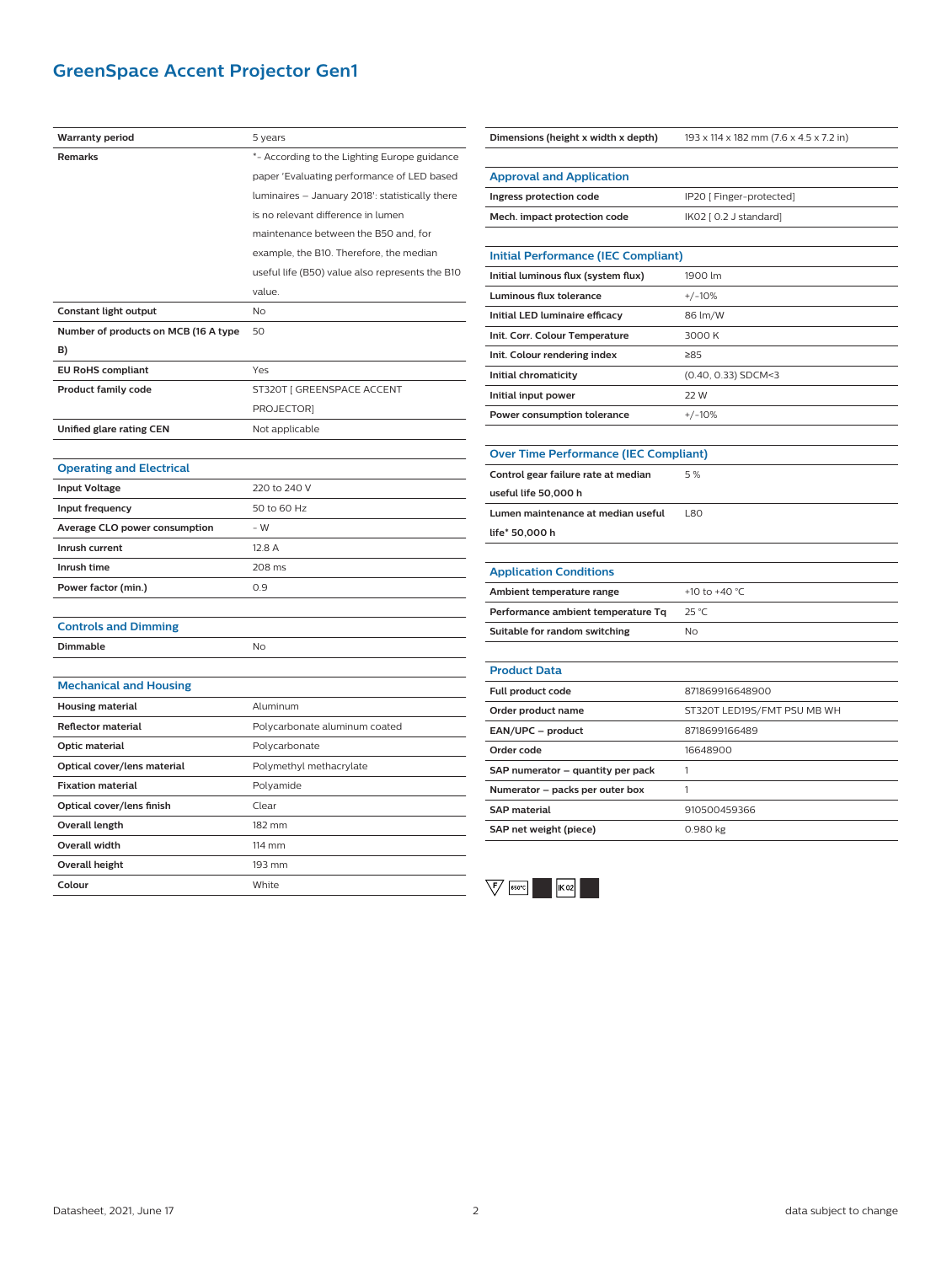# **GreenSpace Accent Projector Gen1**

| <b>Warranty period</b>               | 5 years                                         |
|--------------------------------------|-------------------------------------------------|
| <b>Remarks</b>                       | *- According to the Lighting Europe guidance    |
|                                      | paper 'Evaluating performance of LED based      |
|                                      | luminaires - January 2018': statistically there |
|                                      | is no relevant difference in lumen              |
|                                      | maintenance between the B50 and, for            |
|                                      | example, the B10. Therefore, the median         |
|                                      | useful life (B50) value also represents the B10 |
|                                      | value.                                          |
| Constant light output                | <b>No</b>                                       |
| Number of products on MCB (16 A type | 50                                              |
| B)                                   |                                                 |
| <b>EU RoHS compliant</b>             | Yes                                             |
| <b>Product family code</b>           | ST320T [ GREENSPACE ACCENT                      |
|                                      | <b>PROJECTORI</b>                               |
| Unified glare rating CEN             | Not applicable                                  |
|                                      |                                                 |
| <b>Operating and Electrical</b>      |                                                 |
| <b>Input Voltage</b>                 | 220 to 240 V                                    |
| Input frequency                      | 50 to 60 Hz                                     |
| Average CLO power consumption        | $-W$                                            |
| Inrush current                       | 12.8 A                                          |
| Inrush time                          | 208 ms                                          |
| Power factor (min.)                  | 0.9                                             |
|                                      |                                                 |
| <b>Controls and Dimming</b>          |                                                 |
| <b>Dimmable</b>                      | <b>No</b>                                       |
|                                      |                                                 |
| <b>Mechanical and Housing</b>        |                                                 |
| <b>Housing material</b>              | Aluminum                                        |
| <b>Reflector material</b>            | Polycarbonate aluminum coated                   |
| Optic material                       | Polycarbonate                                   |
| Optical cover/lens material          | Polymethyl methacrylate                         |
| <b>Fixation material</b>             | Polyamide                                       |
| Optical cover/lens finish            | Clear                                           |
| Overall length                       | 182 mm                                          |
| Overall width                        | 114 mm                                          |
| <b>Overall height</b>                | 193 mm                                          |
| Colour                               | White                                           |
|                                      |                                                 |

| Dimensions (height x width x depth)          | 193 x 114 x 182 mm (7.6 x 4.5 x 7.2 in) |  |
|----------------------------------------------|-----------------------------------------|--|
|                                              |                                         |  |
| <b>Approval and Application</b>              |                                         |  |
| Ingress protection code                      | IP20 [ Finger-protected]                |  |
| Mech. impact protection code                 | IK02 [ 0.2 J standard]                  |  |
|                                              |                                         |  |
| <b>Initial Performance (IEC Compliant)</b>   |                                         |  |
| Initial luminous flux (system flux)          | 1900 lm                                 |  |
| Luminous flux tolerance                      | $+/-10%$                                |  |
| Initial LED luminaire efficacy               | 86 lm/W                                 |  |
| Init. Corr. Colour Temperature               | 3000 K                                  |  |
| Init. Colour rendering index                 | ≥85                                     |  |
| Initial chromaticity                         | (0.40, 0.33) SDCM<3                     |  |
| Initial input power                          | 22 W                                    |  |
| Power consumption tolerance                  | $+/-10%$                                |  |
|                                              |                                         |  |
| <b>Over Time Performance (IEC Compliant)</b> |                                         |  |
| Control gear failure rate at median          | 5%                                      |  |
| useful life 50,000 h                         |                                         |  |
| Lumen maintenance at median useful           | <b>L80</b>                              |  |
| life* 50,000 h                               |                                         |  |
|                                              |                                         |  |
| <b>Application Conditions</b>                |                                         |  |
| Ambient temperature range                    | +10 to +40 °C                           |  |
| Performance ambient temperature Tq           | 25 °C                                   |  |
| Suitable for random switching                | No                                      |  |
|                                              |                                         |  |
| <b>Product Data</b>                          |                                         |  |
| Full product code                            | 871869916648900                         |  |
| Order product name                           | ST320T LED19S/FMT PSU MB WH             |  |
| EAN/UPC - product                            | 8718699166489                           |  |
| Order code                                   | 16648900                                |  |
| SAP numerator - quantity per pack            | 1                                       |  |
| Numerator - packs per outer box              | 1                                       |  |
| <b>SAP material</b>                          | 910500459366                            |  |
| SAP net weight (piece)                       | 0.980 kg                                |  |

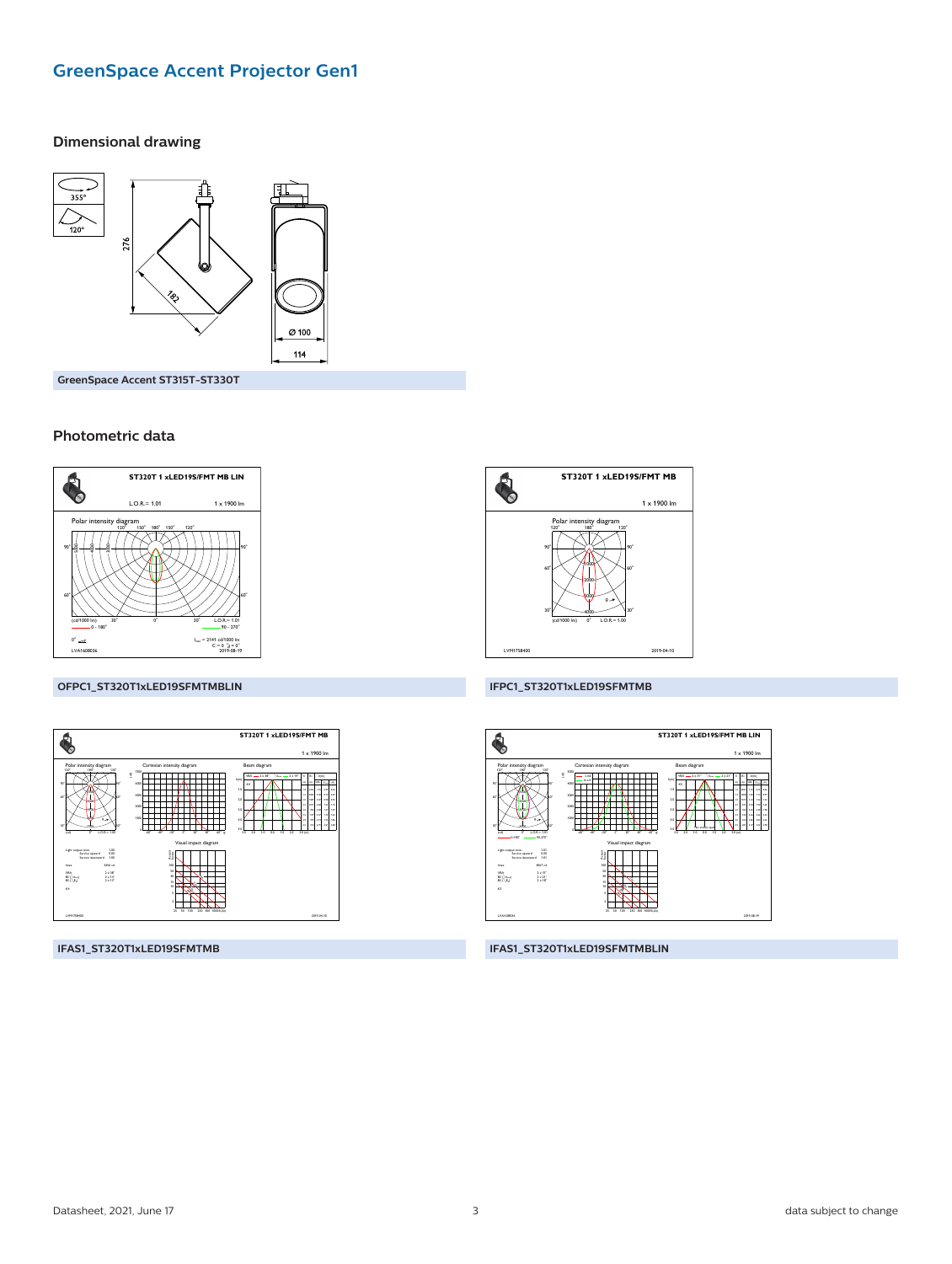# **GreenSpace Accent Projector Gen1**

#### **Dimensional drawing**



GreenSpace Accent ST315T-ST330T

#### Photometric data



#### OFPC1\_ST320T1xLED19SFMTMBLIN



IFAS1\_ST320T1xLED19SFMTMB



#### IFPC1\_ST320T1xLED19SFMTMB



IFAS1\_ST320T1xLED19SFMTMBLIN